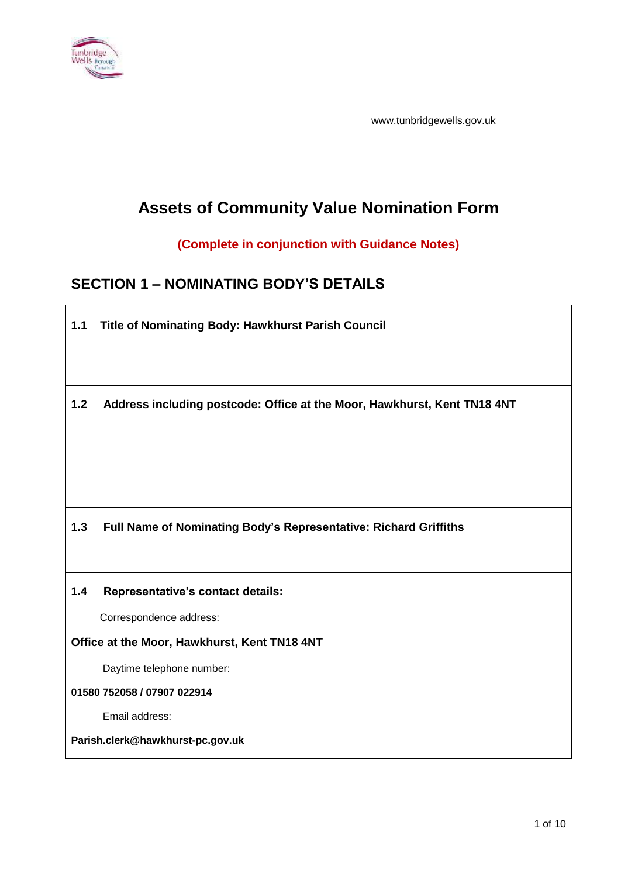

www.tunbridgewells.gov.uk

# **Assets of Community Value Nomination Form**

## **(Complete in conjunction with Guidance Notes)**

## **SECTION 1 – NOMINATING BODY'S DETAILS**

**1.1 Title of Nominating Body: Hawkhurst Parish Council 1.2 Address including postcode: Office at the Moor, Hawkhurst, Kent TN18 4NT 1.3 Full Name of Nominating Body's Representative: Richard Griffiths 1.4 Representative's contact details:** Correspondence address: **Office at the Moor, Hawkhurst, Kent TN18 4NT** Daytime telephone number: **01580 752058 / 07907 022914** Email address:

**Parish.clerk@hawkhurst-pc.gov.uk**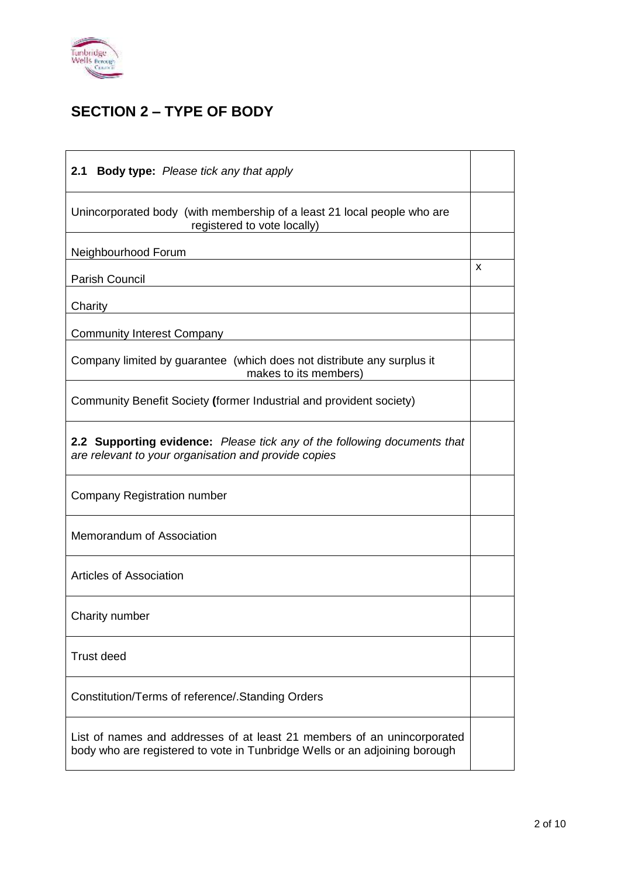

## **SECTION 2 – TYPE OF BODY**

| 2.1<br><b>Body type:</b> Please tick any that apply                                                                                                   |   |
|-------------------------------------------------------------------------------------------------------------------------------------------------------|---|
| Unincorporated body (with membership of a least 21 local people who are<br>registered to vote locally)                                                |   |
| Neighbourhood Forum                                                                                                                                   |   |
| Parish Council                                                                                                                                        | X |
| Charity                                                                                                                                               |   |
| <b>Community Interest Company</b>                                                                                                                     |   |
| Company limited by guarantee (which does not distribute any surplus it<br>makes to its members)                                                       |   |
| Community Benefit Society (former Industrial and provident society)                                                                                   |   |
| 2.2 Supporting evidence: Please tick any of the following documents that<br>are relevant to your organisation and provide copies                      |   |
| Company Registration number                                                                                                                           |   |
| Memorandum of Association                                                                                                                             |   |
| Articles of Association                                                                                                                               |   |
| Charity number                                                                                                                                        |   |
| <b>Trust deed</b>                                                                                                                                     |   |
| Constitution/Terms of reference/. Standing Orders                                                                                                     |   |
| List of names and addresses of at least 21 members of an unincorporated<br>body who are registered to vote in Tunbridge Wells or an adjoining borough |   |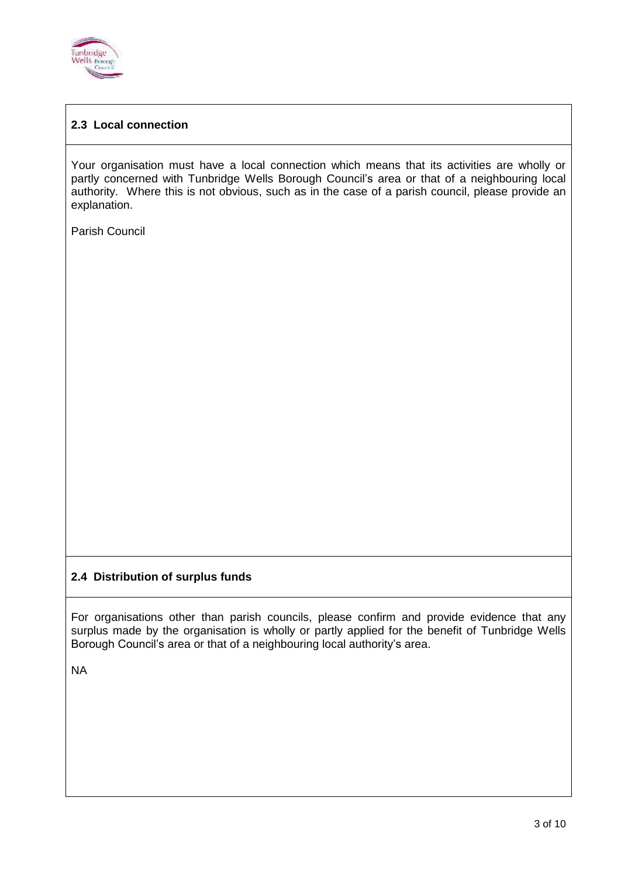

## **2.3 Local connection**

Your organisation must have a local connection which means that its activities are wholly or partly concerned with Tunbridge Wells Borough Council's area or that of a neighbouring local authority. Where this is not obvious, such as in the case of a parish council, please provide an explanation.

Parish Council

#### **2.4 Distribution of surplus funds**

For organisations other than parish councils, please confirm and provide evidence that any surplus made by the organisation is wholly or partly applied for the benefit of Tunbridge Wells Borough Council's area or that of a neighbouring local authority's area.

NA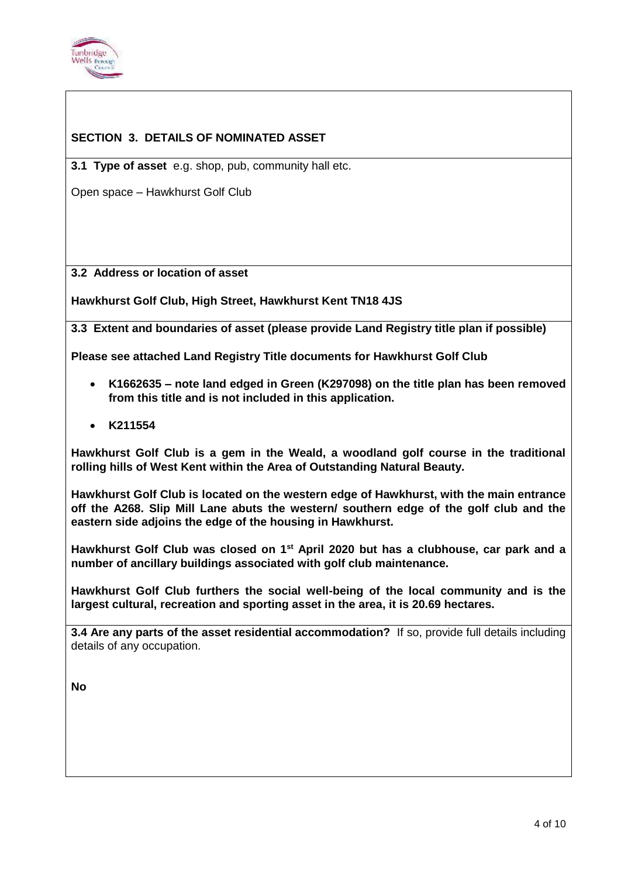

## **SECTION 3. DETAILS OF NOMINATED ASSET**

**3.1 Type of asset** e.g. shop, pub, community hall etc.

Open space – Hawkhurst Golf Club

**3.2 Address or location of asset**

**Hawkhurst Golf Club, High Street, Hawkhurst Kent TN18 4JS**

**3.3 Extent and boundaries of asset (please provide Land Registry title plan if possible)**

**Please see attached Land Registry Title documents for Hawkhurst Golf Club**

- **K1662635 – note land edged in Green (K297098) on the title plan has been removed from this title and is not included in this application.**
- **K211554**

**Hawkhurst Golf Club is a gem in the Weald, a woodland golf course in the traditional rolling hills of West Kent within the Area of Outstanding Natural Beauty.** 

**Hawkhurst Golf Club is located on the western edge of Hawkhurst, with the main entrance off the A268. Slip Mill Lane abuts the western/ southern edge of the golf club and the eastern side adjoins the edge of the housing in Hawkhurst.**

**Hawkhurst Golf Club was closed on 1st April 2020 but has a clubhouse, car park and a number of ancillary buildings associated with golf club maintenance.**

**Hawkhurst Golf Club furthers the social well-being of the local community and is the largest cultural, recreation and sporting asset in the area, it is 20.69 hectares.**

**3.4 Are any parts of the asset residential accommodation?** If so, provide full details including details of any occupation.

**No**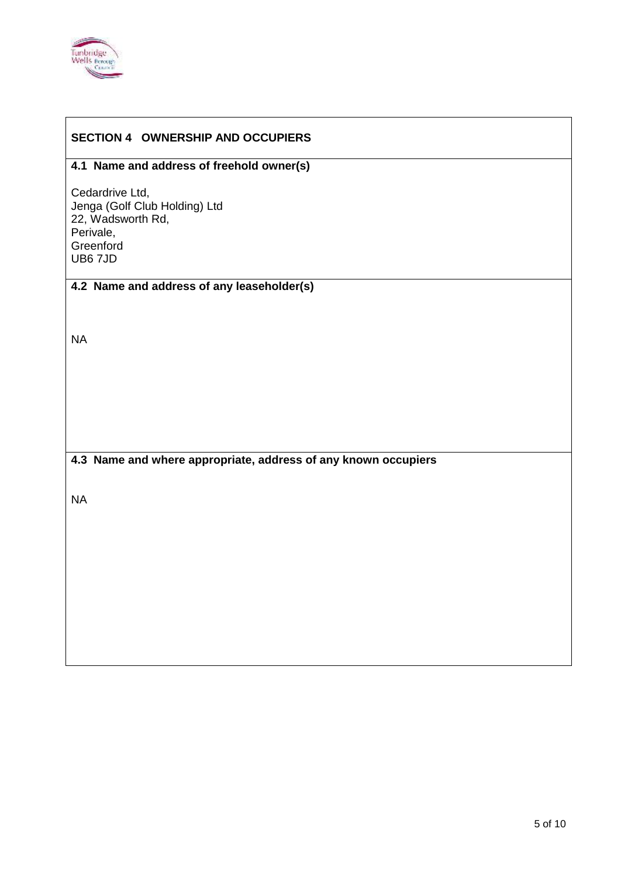

#### **SECTION 4 OWNERSHIP AND OCCUPIERS**

#### **4.1 Name and address of freehold owner(s)**

Cedardrive Ltd, Jenga (Golf Club Holding) Ltd 22, Wadsworth Rd, Perivale, **Greenford** UB6 7JD

## **4.2 Name and address of any leaseholder(s)**

NA

#### **4.3 Name and where appropriate, address of any known occupiers**

NA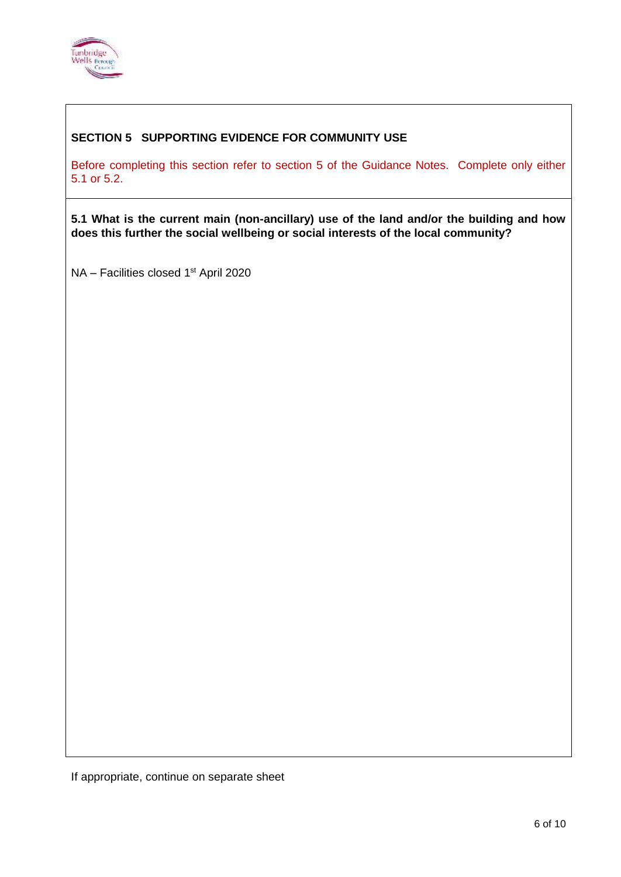

## **SECTION 5 SUPPORTING EVIDENCE FOR COMMUNITY USE**

Before completing this section refer to section 5 of the Guidance Notes. Complete only either 5.1 or 5.2.

**5.1 What is the current main (non-ancillary) use of the land and/or the building and how does this further the social wellbeing or social interests of the local community?**

NA - Facilities closed 1<sup>st</sup> April 2020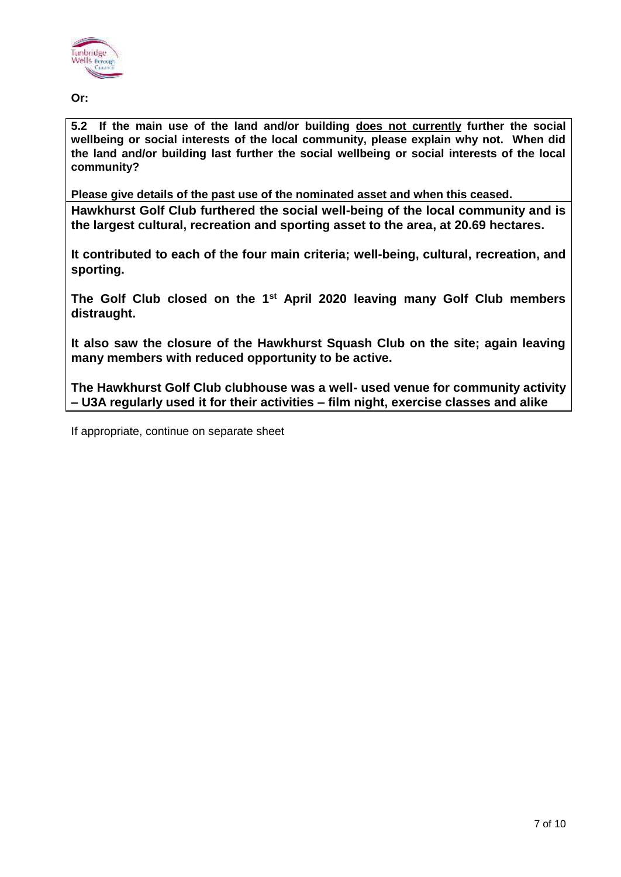

**Or:**

**5.2 If the main use of the land and/or building does not currently further the social wellbeing or social interests of the local community, please explain why not. When did the land and/or building last further the social wellbeing or social interests of the local community?**

**Please give details of the past use of the nominated asset and when this ceased. Hawkhurst Golf Club furthered the social well-being of the local community and is the largest cultural, recreation and sporting asset to the area, at 20.69 hectares.**

**It contributed to each of the four main criteria; well-being, cultural, recreation, and sporting.** 

**The Golf Club closed on the 1st April 2020 leaving many Golf Club members distraught.**

**It also saw the closure of the Hawkhurst Squash Club on the site; again leaving many members with reduced opportunity to be active.**

**The Hawkhurst Golf Club clubhouse was a well- used venue for community activity – U3A regularly used it for their activities – film night, exercise classes and alike**

If appropriate, continue on separate sheet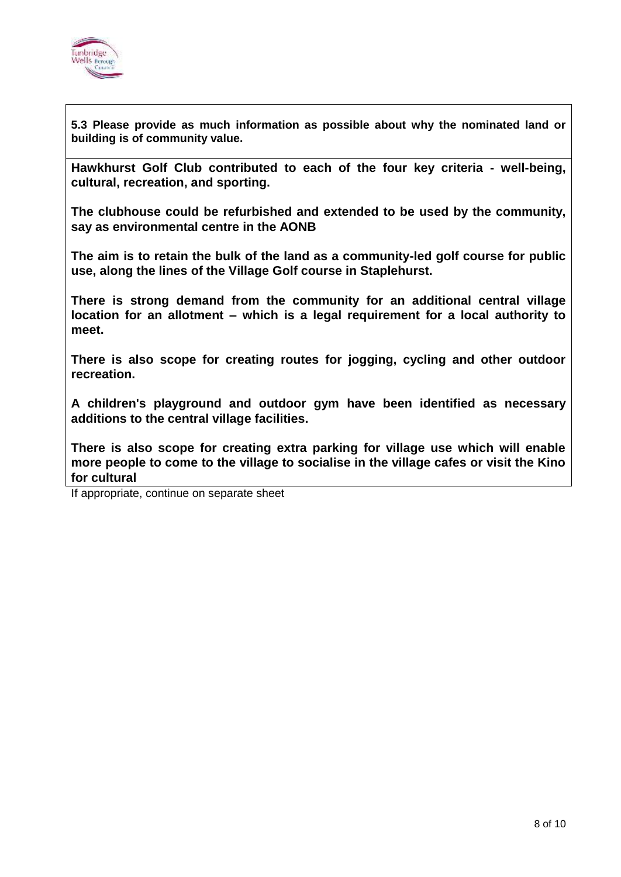

**5.3 Please provide as much information as possible about why the nominated land or building is of community value.**

**Hawkhurst Golf Club contributed to each of the four key criteria - well-being, cultural, recreation, and sporting.** 

**The clubhouse could be refurbished and extended to be used by the community, say as environmental centre in the AONB** 

**The aim is to retain the bulk of the land as a community-led golf course for public use, along the lines of the Village Golf course in Staplehurst.** 

**There is strong demand from the community for an additional central village location for an allotment – which is a legal requirement for a local authority to meet.** 

**There is also scope for creating routes for jogging, cycling and other outdoor recreation.**

**A children's playground and outdoor gym have been identified as necessary additions to the central village facilities.**

**There is also scope for creating extra parking for village use which will enable more people to come to the village to socialise in the village cafes or visit the Kino for cultural**

If appropriate, continue on separate sheet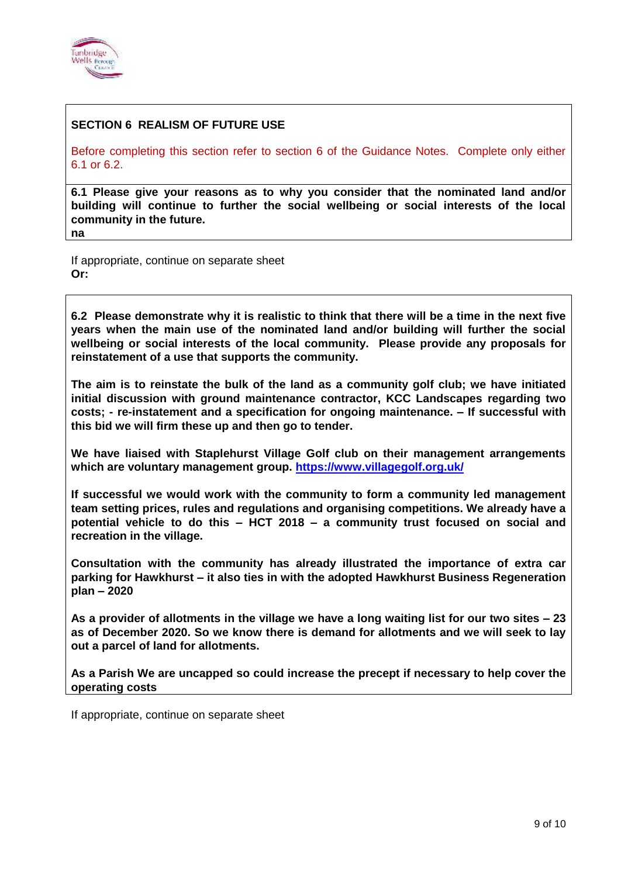

#### **SECTION 6 REALISM OF FUTURE USE**

Before completing this section refer to section 6 of the Guidance Notes. Complete only either 6.1 or 6.2.

**6.1 Please give your reasons as to why you consider that the nominated land and/or building will continue to further the social wellbeing or social interests of the local community in the future. na**

If appropriate, continue on separate sheet **Or:**

**6.2 Please demonstrate why it is realistic to think that there will be a time in the next five years when the main use of the nominated land and/or building will further the social wellbeing or social interests of the local community. Please provide any proposals for reinstatement of a use that supports the community.**

**The aim is to reinstate the bulk of the land as a community golf club; we have initiated initial discussion with ground maintenance contractor, KCC Landscapes regarding two costs; - re-instatement and a specification for ongoing maintenance. – If successful with this bid we will firm these up and then go to tender.**

**We have liaised with Staplehurst Village Golf club on their management arrangements which are voluntary management group. <https://www.villagegolf.org.uk/>**

**If successful we would work with the community to form a community led management team setting prices, rules and regulations and organising competitions. We already have a potential vehicle to do this – HCT 2018 – a community trust focused on social and recreation in the village.**

**Consultation with the community has already illustrated the importance of extra car parking for Hawkhurst – it also ties in with the adopted Hawkhurst Business Regeneration plan – 2020**

**As a provider of allotments in the village we have a long waiting list for our two sites – 23 as of December 2020. So we know there is demand for allotments and we will seek to lay out a parcel of land for allotments.**

**As a Parish We are uncapped so could increase the precept if necessary to help cover the operating costs**

If appropriate, continue on separate sheet